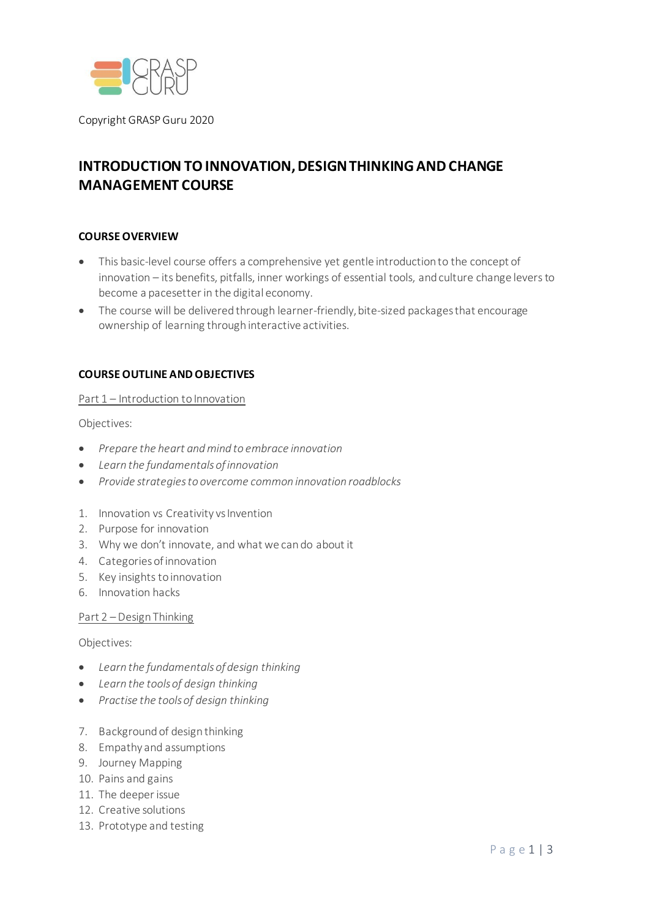

Copyright GRASPGuru 2020

# **INTRODUCTION TO INNOVATION, DESIGN THINKING AND CHANGE MANAGEMENT COURSE**

# **COURSEOVERVIEW**

- This basic-level course offers a comprehensive yet gentle introduction to the concept of innovation – its benefits, pitfalls, inner workings of essential tools, and culture change levers to become a pacesetter in the digital economy.
- The course will be delivered through learner-friendly, bite-sized packages that encourage ownership of learning through interactive activities.

# **COURSEOUTLINE ANDOBJECTIVES**

## Part 1 – Introduction to Innovation

Objectives:

- *Prepare the heart andmind to embrace innovation*
- *Learn the fundamentalsofinnovation*
- *Provide strategiesto overcome common innovation roadblocks*
- 1. Innovation vs Creativity vs Invention
- 2. Purpose for innovation
- 3. Why we don't innovate, and what we can do about it
- 4. Categories of innovation
- 5. Key insights to innovation
- 6. Innovation hacks

## Part 2 –Design Thinking

Objectives:

- *Learn the fundamentalsof design thinking*
- *Learn the toolsof design thinking*
- *Practise the toolsof design thinking*
- 7. Background of designthinking
- 8. Empathy and assumptions
- 9. Journey Mapping
- 10. Pains and gains
- 11. The deeperissue
- 12. Creative solutions
- 13. Prototype and testing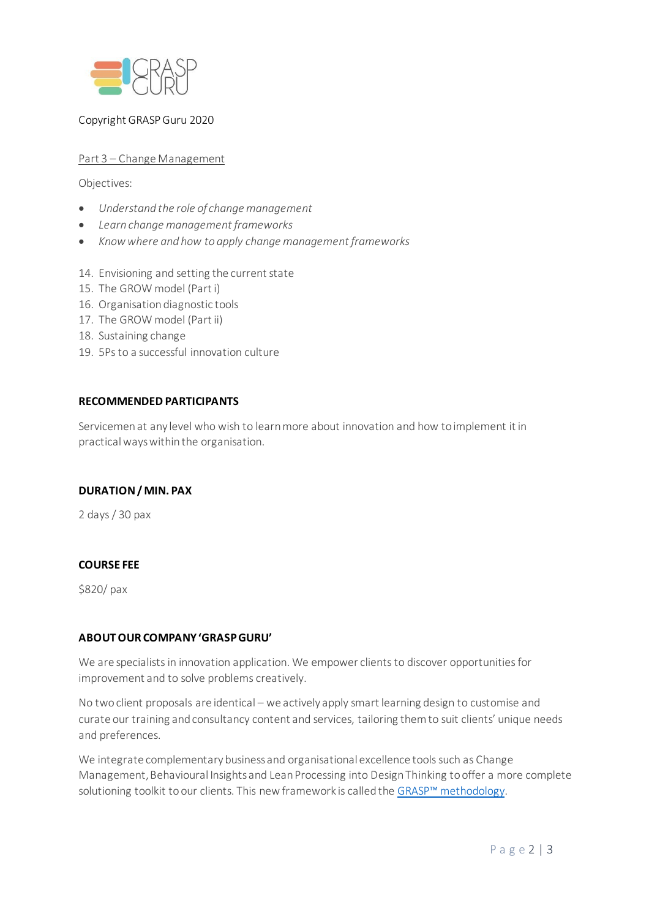

# Copyright GRASPGuru 2020

# Part 3 – Change Management

Objectives:

- *Understand the role of change management*
- *Learn change management frameworks*
- *Knowwhere and how to apply change management frameworks*
- 14. Envisioning and setting the current state
- 15. The GROW model (Part i)
- 16. Organisation diagnostic tools
- 17. The GROW model (Part ii)
- 18. Sustaining change
- 19. 5Psto a successful innovation culture

## **RECOMMENDED PARTICIPANTS**

Servicemen at any level who wish to learn more about innovation and how to implement it in practicalways within the organisation.

## **DURATION/MIN. PAX**

2 days/ 30 pax

# **COURSE FEE**

\$820/ pax

## **ABOUTOUR COMPANY'GRASPGURU'**

We are specialists in innovation application. We empower clients to discover opportunities for improvement and to solve problems creatively.

No two client proposals are identical – we actively apply smart learning design to customise and curate our training and consultancy content and services, tailoring them to suit clients' unique needs and preferences.

We integrate complementary business and organisational excellence tools such as Change Management, Behavioural Insights and Lean Processing into Design Thinking to offer a more complete solutioning toolkit toour clients. This newframework is called the GRASP™ [methodology.](https://www.grasp.guru/about-grasp-design-thinking)